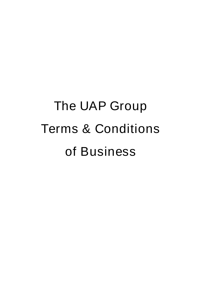# The UAP Group Terms & Conditions of Business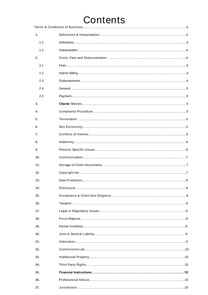# Contents

| 1.              |  |
|-----------------|--|
| 1.1             |  |
| 1.2             |  |
| 2.              |  |
| 2.1             |  |
| 2.2             |  |
| 2.3             |  |
| 2.4             |  |
| 2.5             |  |
| 3.              |  |
| 4.              |  |
| 5.              |  |
| 6.              |  |
| 7.              |  |
| 8.              |  |
| 9.              |  |
| 10 <sub>1</sub> |  |
| 11.             |  |
| 12.             |  |
| 13.             |  |
| 14.             |  |
| 15.             |  |
| 16.             |  |
| 17.             |  |
| 18.             |  |
| 19.             |  |
| 20.             |  |
| 21.             |  |
| 22.             |  |
| 23.             |  |
| 24.             |  |
| 25.             |  |
| 26.             |  |
| 27.             |  |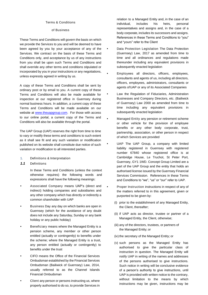#### Terms & Conditions

#### of Business

These Terms and Conditions will govern the basis on which we provide the Services to you and will be deemed to have been agreed by you by your acceptance of any of the Services. We contract on the basis of these Terms and Conditions only, and acceptance by us of any instructions from you shall be upon such Terms and Conditions and shall override any other terms and conditions stipulated or incorporated by you in your instructions or any negotiations, unless expressly agreed in writing by us.

A copy of these Terms and Conditions shall be sent by ordinary post or by email to you. A current copy of these Terms and Conditions will also be made available for inspection at our registered office in Guernsey during normal business hours. In addition, a current copy of these Terms and Conditions will be made available on our website at [www.theuapgroup.com.](http://www.theuapgroup.com/) For those with access to our online portal, a current copy of the Terms and Conditions will also be available through the portal.

The UAP Group (UAP) reserves the right from time to time to vary or modify these terms and conditions to such extent as it shall see fit and any such variation or modification published on its website shall constitute due notice of such variation or modification to all interested parties.

- <span id="page-2-0"></span>1. Definitions & Interpretation
- <span id="page-2-1"></span>*1.1 Definitions*

In these Terms and Conditions (unless the context otherwise requires) the following words and expressions shall have the following meanings:

- **•** Associated Company means UAP's (direct and indirect) holding companies and subsidiaries and any other company which has directly or indirectly a common shareholder with UAP
- **•** Business Day any day on which banks are open in Guernsey (which for the avoidance of any doubt does not include any Saturday, Sunday or any bank holiday or any public holiday)
- **•** Beneficiary means where the Managed Entity is a pension scheme, any member or other person entitled (actually or contingently) to benefits under the scheme; where the Managed Entity is a trust, any person entitled (actually or contingently) to benefits under the trust
- **•** CIFO means the Office of the Financial Services Ombudsman established by the Financial Services Ombudsman (Bailiwick of Guernsey) Law, 2014, usually referred to as the Channel Islands Financial Ombudsman
- **•** Client any person or persons instructing us, where properly authorised to do so, to provide Services in

relation to a Managed Entity and, in the case of an individual, includes his heirs, personal representatives and assigns and, in the case of a body corporate, includes its successors and assigns. References in these Terms and Conditions to "you" and "yours" refer to the Client

- **•** Data Protection Legislation The Data Protection (Guernsey) Law, 2017 as amended from time to time and all ordinances and regulations made thereunder including any equivalent provisions in subsequently enacted legislation
- **•** Employees all directors, officers, employees, consultants and agents of us, including all directors, officers, employees, administrators, consultants or agents ofUAP or any of its Associated Companies
- **•** Law the Regulation of Fiduciaries, Administration Businesses and Company Directors, etc. (Bailiwick of Guernsey) Law 2000 as amended from time to time including any equivalent provisions in subsequently enacted legislation
- **•** Managed Entity any pension or retirement scheme or other vehicle for the provision of employee benefits or any other body corporate, trust, partnership, association, or other person in respect of which Services are provided
- **•** UAP The UAP Group, a company with limited liability registered in Guernsey with registered number 67840 whose registered office is at Cambridge House, Le Truchot, St Peter Port, Guernsey, GY1 1WD. Concept Group Limited are a part of the UAP Group and the entity that holds an authorised license issued by the Guernsey Financial Services Commission. References in these Terms and Conditions to "we", "us" or "our" refer to UAP.
	- **•** Proper Instruction instructions in respect of any of the matters referred to in this agreement, given or purported to be given by:
	- (i) prior to the establishment of any Managed Entity, the Client, thereafter;
	- (ii) if UAP acts as director, trustee or partner of a Managed Entity, the Client, otherwise;
	- (iii) any of the directors, trustees, or partners of the Managed Entity; or
	- (iv) the secretary of the Managed Entity; or
	- (v) such persons as the Managed Entity has authorised to give the particular class of instruction in question. The Managed Entity will notify UAP in writing of the names and addresses of the persons authorised to give instructions. Such notice in writing will be conclusive evidence of a person's authority to give instructions, until UAP is provided with written notice to the contrary, without limitation to the means by which instructions may be given, instructions may be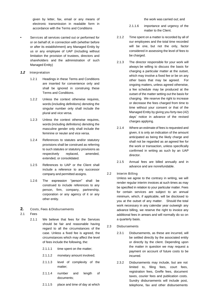given by letter, fax, email or any means of electronic transmission in readable form in accordance with the Terms and Conditions

- **•** Services all services carried out or performed for or on behalf of, in connection with (whether before or after its establishment) any Managed Entity by us or any employee of UAP (including without limitation the provision of trustees, directors and shareholders and the administration of such Managed Entity)
- <span id="page-3-0"></span>*1.2 Interpretation*
	- 1.2.1 Headings in these Terms and Conditions are inserted for convenience only and shall be ignored in construing these Terms and Conditions.
	- 1.2.2 Unless the context otherwise requires, words (including definitions) denoting the singular number only shall include the plural and vice versa.
	- 1.2.3 Unless the context otherwise requires, words (including definitions) denoting the masculine gender only shall include the feminine or neuter and vice versa.
	- 1.2.4 References to statutes and/or statutory provisions shall be construed as referring to such statutes or statutory provisions as respectively replaced, amended, extended, or consolidated.
	- 1.2.5 References to UAP or the Client shall include a reference to any successor company and permitted assigns.
	- 1.2.6 The expression "person" shall be construed to include references to any person, firm, company, partnership, corporation or any agency of it or any other entity.
- <span id="page-3-1"></span>**2.** Costs, Fees & Disbursements
- <span id="page-3-2"></span>*2.1 Fees*
	- 2.1.1 We believe that fees for the Services should be fair and reasonable having regard to all the circumstances of the case. Unless a fixed fee is agreed, the circumstances which may affect the level of fees include the following, the:
		- 2.1.1.1 time spent on the matter;
		- 2.1.1.2 monetary amount involved;
		- 2.1.1.3 level of complexity of the matter;
		- 2.1.1.4 number and length of documents;
		- 2.1.1.5 place and time of day at which

the work was carried out; and

- 2.1.1.6 importance and urgency of the matter to the Client.
- 2.1.2 Time spent on a matter is recorded by all of our employees and the total time recorded will be one, but not the only, factor considered in assessing the level of fees to be charged.
- 2.1.3 The director responsible for your work will always be willing to discuss the basis for charging a particular matter at the outset, which may involve a fixed fee or be on any other basis that may be agreed. For ongoing matters, unless agreed otherwise, a fee schedule may be produced at the outset of the matter setting out the basis for charging. We reserve the right to increase or decrease the fees charged from time to time without your consent or that of the Managed Entity by giving you forty-two (42) days' notice in advance of the revised charges applying.
- 2.1.4 Where an estimate of fees is requested and given, it is only an indication of the amount anticipated as being the likely charge and shall not be regarded as an agreed fee for the work or transaction, unless specifically confirmed in writing as such by an UAP director.
- 2.1.5 Annual fees are billed annually and in advance and are nonrefundable.

#### <span id="page-3-3"></span>*2.2 Interim Billing*

Unless we agree to the contrary in writing, we will render regular interim invoices at such times as may be specified in relation to your particular matter. Fees for certain services are subject to an annual minimum, which, if applicable, will be disclosed to you at the outset of any matter. Should the total work necessary in any calendar year outweigh any advance billing, we reserve the right to invoice any additional fees in arrears and will normally do so on a quarterly basis.

- <span id="page-3-4"></span>*2.3 Disbursements*
	- 2.3.1 Disbursements, as these are incurred, will be settled directly by the associated entity or directly by the client. Depending upon the matter in question we may request a payment on account of future costs to be incurred.
	- 2.3.2 Disbursements may include, but are not limited to, filing fees, court fees, registration fees, Greffe fees, document taxes, courier fees and publication costs. Sundry disbursements will include post, telephone, fax and other disbursements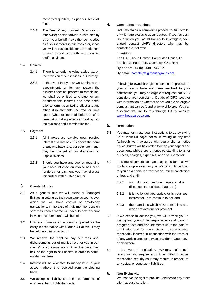recharged quarterly as per our scale of fees.

2.3.3 The fees of any counsel (Guernsey or otherwise) or other advisors instructed by us on your behalf may either be included as disbursements in our invoice or, if not, you will be responsible for the settlement of such fees directly with such counsel and/or advisors.

#### <span id="page-4-0"></span>*2.4 General*

- 2.4.1 There is currently no value added tax on the provision of our services inGuernsey.
- 2.4.2 In the event that you or we terminate our appointment, or for any reason the business does not proceed to completion, we shall be entitled to charge for any disbursements incurred and time spent prior to termination taking effect and any other disbursements incurred or time spent (whether incurred before or after termination taking effect) in dealing with the business and a termination fee.
- <span id="page-4-1"></span>*2.5 Payment*
	- 2.5.1 All invoices are payable upon receipt. Interest at a rate of 2.5% above the bank of England base rate, per calendar month may be charged at our discretion, on unpaid invoices.
	- 2.5.2 Should you have any queries regarding your account once an invoice has been rendered for payment, you may discuss this further with a UAP director.

# <span id="page-4-2"></span>**3.** Clients' Monies

- 3.1 As a general rule we will assist all Managed Entities in setting up their own bank accounts over which we will have control of day-to-day transactions. In the case of multi member pension schemes each scheme will have its own account in which members funds will be held.
- 3.2 Until such time as an account is opened for the entity in accordance with Clause 3.1 above, it may be held in a clients' account.
- 3.3 We reserve the right to pay our fees and disbursements out of monies held for you in our clients', or your own, account (as the case may be), or the right to sell assets in order to settle outstanding fees.
- 3.4 Interest will be allocated to money held in your account where it is received from the clearing bank.
- 3.5 We accept no liability as to the performance of whichever bank holds the funds.

# <span id="page-4-3"></span>**4.** Complaints Procedure

UAP maintains a complaints procedure, full details of which are available upon request. If you have an issue which you would like us to investigate, you should contact UAP's directors who may be contacted as follows:

#### In writing:

The UAP Group Limited, Cambridge House, Le Truchot, St Peter Port, Guernsey, GY1 3HH By phone: +44 (0) 01481 746822

By email[: complaints@theuapgroup.com](mailto:complaints@theuapgroup.com)

If, having followed through the complaint's procedure, your concerns have not been resolved to your satisfaction, you may be eligible to request that CIFO considers your complaint. Details of CIFO together with information on whether or not you are an eligible complainant can be found a[t www.ci-fo.org.](http://www.ci-fo.org/) You can also find the link to this through UAP's website, [www.theuapgroup.com.](http://www.theuapgroup.com/)

#### <span id="page-4-4"></span>**5.** Termination

- 5.1 You may terminate your instructions to us by giving us at least 60 days' notice in writing at any time (although we may agree with you a shorter notice period) but we will be entitled to keep your papers and documents while there is money outstanding to us for our fees, charges, expenses, anddisbursements.
- 5.2 In some circumstances we may consider that we ought to stop working for you. We will continue to act foryou on a particular transaction until its conclusion unless and until:
	- 5.2.1 you do not produce requisite due diligence material (see Clause 14);
	- 5.2.2 it is no longer appropriate or in your best interest for us to continue to act; and
	- 5.2.3 there are fees which have been billed and which are overdue for payment.
- 5.3 If we cease to act for you, we will advise you in writing and you will be responsible for all work in progress, fees and disbursements up to the date of termination and for any costs and disbursements reasonably incurred in connection with the transfer of any work to another service provider in Guernsey, or elsewhere.
- 5.4 In the event of termination, UAP may make such retentions and require such indemnities or other reasonable security as it may require in respect of any actual or contingent liabilities.

#### **6.** Non-Exclusivity

We reserve the right to provide Services to any other client at our discretion.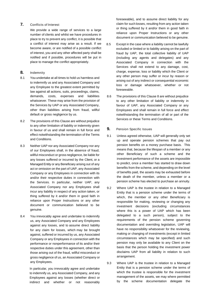# <span id="page-5-0"></span>**7.** Conflicts of Interest

We provide a wide range of services to a large number of clients and whilst we have procedures in place to try to prevent any conflict, it is possible that a conflict of interest may arise as a result. If we become aware, or are notified of a possible conflict of interest, you and any other affected party shall be notified and if possible, procedures will be put in place to manage the conflict appropriately.

## <span id="page-5-1"></span>**8.** Indemnity

- 8.1 You undertake at all times to hold us harmless and to indemnify us and any Associated Company and any Employee to the greatest extent permitted by law against all actions, suits, proceedings, claims, demands, costs, expenses and liabilities whatsoever. These may arise from the provision of the Services by UAP or any Associated Company, other than liabilities arising from fraud, willful default or gross negligence by us.
- 8.2 The provisions of this Clause are without prejudice to any other limitation of liability or indemnity given in favour of us and shall remain in full force and effect notwithstanding the termination of the Terms and Conditions.
- 8.3 Neither UAP nor any Associated Company nor any of our Employees shall, in the absence of fraud, willful misconduct or gross negligence, be liable for any losses suffered or incurred by the Client, or a Managed Entity or any Beneficiary arising out of any act or omission on the part of UAP, any Associated Company or any Employees in connection with its and/or their respective duties in connection with the Services. In particular, neither UAP, any Associated Company nor any Employees shall incur any liability in respect of any action taken, or thing suffered by it and/or them in good faith in reliance upon Proper Instructions or any other document or communication believed to be genuine.
- 8.4 You irrevocably agree and undertake to indemnify us, any Associated Company and any Employees against any losses, and to assume direct liability for any claim for losses, which may be brought against, suffered or incurred by us, any Associated Company or any Employees in connection with the performance or nonperformance of its and/or their respective duties under this agreement, other than those arising out of the fraud, willful misconduct or gross negligence of us, an Associated Company or any Employees.

In particular, you irrevocably agree and undertake to indemnify us, any Associated Company, and any Employees against any losses (whether direct or indirect and whether or not reasonably foreseeable), and to assume direct liability for any claim for such losses, resulting from any action taken or thing suffered by it and/or them in good faith in reliance upon Proper Instructions or any other document or communication believed to be genuine.

- 8.5 Except in the case where a liability cannot be lawfully excluded or limited or to liability arising on the part of fraud by UAP, the total collective liability of UAP (including any agents and delegates) and any Associated Company in connection with the Services shall not extend to any damage, cost, charge, expense, loss or liability which the Client or any other person may suffer or incur by reason or arising out of any indirect or consequential economic loss or damage whatsoever, whether or not foreseeable.
- 8.6 The provisions of this Clause 8 are without prejudice to any other limitation of liability or indemnity in favour of UAP, any Associated Company or any Employees and shall remain in full force and effect notwithstanding the termination of all or part of the Services or these Terms and Conditions.

#### <span id="page-5-2"></span>**9.** Pension Specific Issues

- 9.1 Unless agreed otherwise, UAP will generally only set up and operate pension schemes that pay out pension benefits on a money purchase basis. This means that, because the lifespan of a member or any other Beneficiary of such a scheme and the investment performance of the assets are impossible to predict, once a member has started to draw down benefits from the scheme, and depending on the level of benefits paid, the assets may be exhausted before the death of the member, unless a member or a pension scheme has elected to purchase an annuity.
- 9.2 Where UAP is the trustee in relation to a Managed Entity that is a pension scheme under the terms of which, the member or any other Beneficiary is responsible for making, reviewing or changing any investment decisions (excluding circumstances where this is a power of UAP which has been delegated to a such person), subject to the requirements of the pension scheme governing documentation and overriding legislation, UAP will have no responsibility whatsoever for the reviewing, making or changing of investments (except in limited circumstances which may be specified) and such pension may only be available to any Client on the basis that the person holding the investment power disclaims UAP from all liability in relation to such arrangement.
- 9.3 Where UAP is the trustee in relation to a Managed Entity that is a pension scheme under the terms of which the trustee is responsible for the investment management of the assets, we may where permitted by the scheme documentation delegate the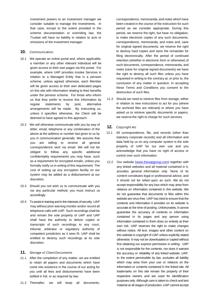investment powers to an investment manager we consider suitable to manage the investments. In that case, except to the extent provided in the scheme documentation or overriding law, the Trustee will have no liability in relation to acts or omissions of the investment manager.

#### **10.** Communication

- 10.1 We operate an online portal and, where applicable, a member or any other relevant individual will be given access to their own pages via this portal. For example, where UAP provides trustee Services in relation to a Managed Entity that is a pension scheme, unless agreed otherwise, each Member will be given access to their own dedicated pages on this site with information relating to their benefits under the pension scheme. For those who inform us that they prefer to receive this information by regular statements by post, alternative arrangements will be made. By instructing us, unless it specifies otherwise, the Client will be deemed to have agreed to this approach.
- 10.2 We will otherwise communicate with you by way of letter, email, telephone or any combination of the above at the address or number last given to us by you in communication generally. We assume that you are willing to receive all general correspondence sent via email. We will not be obliged to follow any specific additional confidentiality requirements you may have, such as a requirement for encrypted emails, unless you formally notify us in writing of this requirement. The cost of setting up any encryption facility on our system may be added as a disbursement at our discretion.
- 10.3 Should you not wish us to communicate with you via any particular method, you must instruct us accordingly.
- 10.4 To assist in training and in the interests of security, UAP may without prior warning monitor and/or record all telephone calls with UAP. Such recordings shall be and remain the sole property of UAP and UAP shall have the authority to deliver copies or transcripts of such recordings to any court, tribunal, arbitrator or regulatory authority of competent jurisdiction as it sees fit. UAP shall be entitled to destroy such recordings at its sole discretion.
- <span id="page-6-0"></span>**11.** Storage of Client Documents
- 11.1 After the completion of any matter, we are entitled to retain all papers and documents which have come into existence in the course of our acting for you until all fees and disbursements have been settled in full, or as required by law.

correspondence, memoranda, and notes which have been created in the course of the instruction for such period as we consider appropriate. During this period, we reserve the right, but have no obligation, to make electronic copies of any such documents, correspondence, memoranda, and notes and, save for original signed documents, we reserve the right to destroy hard copies and store the remainder for filing electronically. After the period of continued retention (whether in electronic form or otherwise) of such documents, correspondence, memoranda, and notes (save for original signed documents) we have the right to destroy all such files unless you have requested in writing to the contrary at, or prior to, the conclusion of any matter in question. In accepting these Terms and Conditions you consent to the destruction of such files.

11.3 Should we need to retrieve files from storage, either in relation to new instructions to act for you (where the archived files are relevant) or where you have asked us to retrieve specific documents or papers, we reserve the right to charge for such services.

#### <span id="page-6-1"></span>**12.** Copyright etc

- 12.1 All correspondence, file, and records (other than statutory corporate records) and all information and data held by us on any computer system is the sole property of UAP for our own use and you acknowledge that you have no right of access or control over such information.
- 12.2 Our website [\(www.theuapgroup.com\)](http://www.theuapgroup.com/) together with any linked websites and all material contained in it, provides general information only. None of its content constitutes legal or professional advice, and it should not be relied upon as such. We do not accept responsibility for any loss which may arise from reliance on information contained in this website. We do not guarantee that documents or files within this website are virus-free. UAP has tried to ensure that the contents and information it provides on its website is accurate at the time of posting. Unfortunately, it cannot guarantee the accuracy of contents or information contained in its pages and any person using information contained in them does so entirely at their own risk. UAP reserves the right to make changes without notice. All text, images and other content on this website is copyright of UAP unless explicitly stated otherwise. It may not be downloaded or copied without first obtaining our express permission in writing. UAP is not responsible for the contents, nor does it warrant the accuracy or reliability of any linked website. UAP, to the extent permissible by law, excludes all liability which may arise from your use or reliance on the information or contents contained in the linked site. All trademarks on this site remain the property of their respective owners and are used for identification purposes only. Although care is taken to check and test material at all stages of production, UAP cannot accept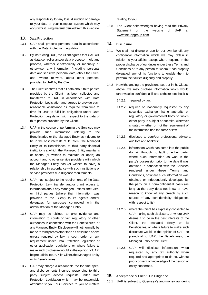any responsibility for any loss, disruption or damage to your data or your computer system which may occur whilst using material derived from this website.

- <span id="page-7-0"></span>**13.** Data Protection
- 13.1 UAP shall process personal data in accordance with the Data Protection Legislation.
- 13.2 By instructing UAP, the Client agrees that UAP will as data controller and/or data processor, hold and process, whether electronically or manually or otherwise, any information (including personal data and sensitive personal data) about the Client and, where relevant, about other persons, provided to UAP by the Client.
- 13.3 The Client confirms that all data about third parties provided by the Client has been collected and transferred to UAP in accordance with Data Protection Legislation and agrees to provide such reasonable assistance as required from time to time for UAP to fulfill its obligations under Data Protection Legislation with respect to the data of third parties provided by the Client.
- 13.4 UAP in the course of performing the Services may provide such information relating to the Beneficiaries or the Managed Entity as it deems to be in the best interests of its Client, the Managed Entity or its Beneficiaries, to third party financial institutions at which the Managed Entity maintains or opens (or wishes to maintain or open) an account and to other service providers with which the Managed Entity has (or wishes to have) a relationship in accordance with such institutions or service provider's due diligence requirements.
- 13.5 UAP may, subject to the requirements of the Data Protection Law, transfer and/or grant access to information about any Managed Entities, the Client or third parties (where that information was provided to the Client) to its agents and/or delegates for purposes connected with the administration of the Managed Entity.
- 13.6 UAP may be obliged to give evidence and information to courts or tax, regulatory or other authorities in connection with the Beneficiaries or any Managed Entity. Disclosure will not normally be made to third parties other than as described above unless required by law, a court order or any requirement under Data Protection Legislation or other applicable regulations or where failure to make such disclosure would, in the opinion of UAP, be prejudicial to UAP, its Client, the Managed Entity or its Beneficiaries.
- 13.7 UAP may charge a reasonable fee for time spent and disbursements incurred responding to third party subject access requests under Data Protection Legislation which may be reasonably attributed to you, our Services to you or matters

relating to you.

- 13.8 The Client acknowledges having read the Privacy Statement on the website of UAP at www.theuapgroup.com.
- <span id="page-7-1"></span>**14.** Disclosure
- 14.1 We shall not divulge or use for our own benefit any confidential information which we may obtain in relation to your affairs, except where required in the proper discharge of our duties under these Terms and Conditions or to any person to whom it has properly delegated any of its functions to enable them to perform their duties diligently and properly.
- 14.2 Notwithstanding the provisions set out in the Clause above, we may disclose information which would otherwise be confidential if, and to the extent that it is:
	- 14.2.1 required by law;
	- 14.2.2 required or reasonably requested by any securities exchange, listing authority or regulatory or governmental body to which either party is subject or submits, wherever situated whether or not the requirement of the information has the force of law;
	- 14.2.3 disclosed to your/our professional advisers, auditors and bankers;
	- 14.2.4 information which has come into the public domain through no fault of either party, where such information as was in the party's possession prior to the date it was obtained in connection with the Services rendered under these Terms and Conditions, or where such information was obtained or independently developed by the party on a non-confidential basis (as long as the party does not know or have reason to know of any breach by such source of any confidentiality obligations with respect to its).
	- 14.2.5 where the Client has expressly consented to UAP making such disclosure, or where UAP deems it to be in the best interests of the Client, the Managed Entity or its Beneficiaries, or where failure to make such disclosure would, in the opinion of UAP, be prejudicial to UAP, the Beneficiaries, the Managed Entity or the Client.
	- 14.2.6 UAP will disclose information when requested by any tax authority when required and appropriate to do so, without prior consent or knowledge of the person or entity concerned.
- <span id="page-7-2"></span>**15.** Acceptance & Client Due Diligence
- 15.1 UAP is subject to Guernsey's anti-money laundering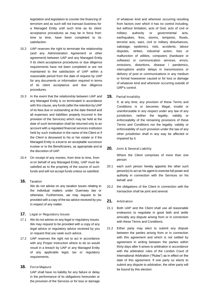legislation and legislation to counter the financing of terrorism and as such will not transact business for a Managed Entity until such time as its client acceptance procedures as may be in force from time to time, have been completed to its satisfaction.

- 15.2 UAP reserves the right to terminate the relationship (and any Administration Agreement or other agreement) between UAP and any Managed Entity if its client acceptance procedures or due diligence requirements have not been completed or are not maintained to the satisfaction of UAP within a reasonable period from the date of request by UAP for any documents or information required in terms of its client acceptance and due diligence procedures.
- 15.3 In the event that the relationship between UAP and any Managed Entity is so terminated in accordance with this clause, any funds (after the retention by UAP of its fees due or outstanding at the date thereof and all expenses and liabilities properly incurred in the provision of the Services) which may be held at the date of such termination shall be returned only to an account with a regulated financial services institution held by such institution in the name of the Client or if the Client is deceased to his or her estate or if the Managed Entity is a trust to an acceptable successor trustee or to the Beneficiaries, as appropriate and at the discretion of UAP.
- 15.4 On receipt of any monies, from time to time, from or on behalf of any Managed Entity, UAP must be satisfied as to the propriety of the source of such funds and will not accept funds unless so satisfied.
- <span id="page-8-0"></span>**16.** Taxation We do not advise on any taxation issues relating to the individual matters under Guernsey law or otherwise. Furthermore, we may request to be provided with a copy of the tax advice received by you in respect of any matter.
- <span id="page-8-1"></span>**17.** Legal or Regulatory Issues
- 17.1 We do not advise on any legal or regulatory issues. We may request to be provided with a copy of any legal advice or regulatory advice received by you or request that you seek such advice.
- 17.2 UAP reserves the right not to act in accordance with any Proper Instruction where to do so would result in a breach by UAP or any Managed Entity of any applicable legal, tax or regulatory requirements.

# <span id="page-8-2"></span>**18.** Force Majeure

UAP shall have no liability for any failure or delay in the performance of its obligations hereunder or the provision of the Services or for loss or damage

of whatever kind and wherever occurring resulting from factors over which it has no control including, but without limitation, acts of God, acts of civil or military authority or governmental acts, earthquakes, fires, storms, tempests, floods, terrorist acts, wars, civil or military disturbances, sabotage, epidemics, riots, accidents, labour disputes, strikes, industrial action, loss or malfunction of utilities, computers (hardware or software) or communication services, errors, omissions, distortions, disease / pandemics, interruptions and/or delays in transmissions or delivery of post or communications in any medium or format howsoever caused or for loss or damage of whatever kind and wherever occurring outside of UAP's control.

<span id="page-8-3"></span>**19.** Partial Invalidity

If, at any time, any provision of these Terms and Conditions is or becomes illegal, invalid or unenforceable in any respect under any law of any jurisdiction, neither the legality, validity or enforceability of the remaining provisions of these Terms and Conditions nor the legality, validity or enforceability of such provision under the law of any other jurisdiction shall in any way be affected or impaired by it.

<span id="page-8-4"></span>**20.** Joint & Several Liability

Where the Client comprises of more than one person:

- 20.1 each such person hereby appoints the other such person(s) to act as his agent to exercise full power and authority in connection with the Services on his behalf; and
- 20.2 the obligations of the Client in connection with the transaction shall be joint and several.

# <span id="page-8-5"></span>**21.** Arbitration

- 21.1 Both UAP and the Client shall use all reasonable endeavors to negotiate in good faith and settle amicably any dispute arising from or in connection with these Terms and Conditions.
- 21.2 Either party may elect to submit any dispute between the parties arising from or in connection with this agreement and which is not settled by agreement in writing between the parties within thirty days after it arises to arbitration in accordance with the arbitration rules of the London Court of International Arbitration ("Rules") as in effect on the date of this agreement. If one party so elects to submit any dispute to arbitration, the other party will be bound by this election.